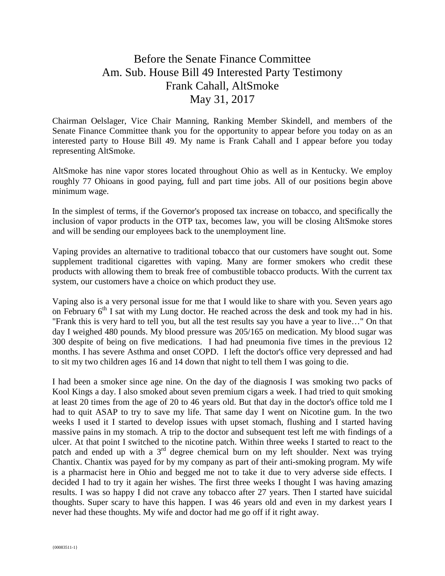## Before the Senate Finance Committee Am. Sub. House Bill 49 Interested Party Testimony Frank Cahall, AltSmoke May 31, 2017

Chairman Oelslager, Vice Chair Manning, Ranking Member Skindell, and members of the Senate Finance Committee thank you for the opportunity to appear before you today on as an interested party to House Bill 49. My name is Frank Cahall and I appear before you today representing AltSmoke.

AltSmoke has nine vapor stores located throughout Ohio as well as in Kentucky. We employ roughly 77 Ohioans in good paying, full and part time jobs. All of our positions begin above minimum wage.

In the simplest of terms, if the Governor's proposed tax increase on tobacco, and specifically the inclusion of vapor products in the OTP tax, becomes law, you will be closing AltSmoke stores and will be sending our employees back to the unemployment line.

Vaping provides an alternative to traditional tobacco that our customers have sought out. Some supplement traditional cigarettes with vaping. Many are former smokers who credit these products with allowing them to break free of combustible tobacco products. With the current tax system, our customers have a choice on which product they use.

Vaping also is a very personal issue for me that I would like to share with you. Seven years ago on February  $6<sup>th</sup>$  I sat with my Lung doctor. He reached across the desk and took my had in his. "Frank this is very hard to tell you, but all the test results say you have a year to live…" On that day I weighed 480 pounds. My blood pressure was 205/165 on medication. My blood sugar was 300 despite of being on five medications. I had had pneumonia five times in the previous 12 months. I has severe Asthma and onset COPD. I left the doctor's office very depressed and had to sit my two children ages 16 and 14 down that night to tell them I was going to die.

I had been a smoker since age nine. On the day of the diagnosis I was smoking two packs of Kool Kings a day. I also smoked about seven premium cigars a week. I had tried to quit smoking at least 20 times from the age of 20 to 46 years old. But that day in the doctor's office told me I had to quit ASAP to try to save my life. That same day I went on Nicotine gum. In the two weeks I used it I started to develop issues with upset stomach, flushing and I started having massive pains in my stomach. A trip to the doctor and subsequent test left me with findings of a ulcer. At that point I switched to the nicotine patch. Within three weeks I started to react to the patch and ended up with a  $3<sup>rd</sup>$  degree chemical burn on my left shoulder. Next was trying Chantix. Chantix was payed for by my company as part of their anti-smoking program. My wife is a pharmacist here in Ohio and begged me not to take it due to very adverse side effects. I decided I had to try it again her wishes. The first three weeks I thought I was having amazing results. I was so happy I did not crave any tobacco after 27 years. Then I started have suicidal thoughts. Super scary to have this happen. I was 46 years old and even in my darkest years I never had these thoughts. My wife and doctor had me go off if it right away.